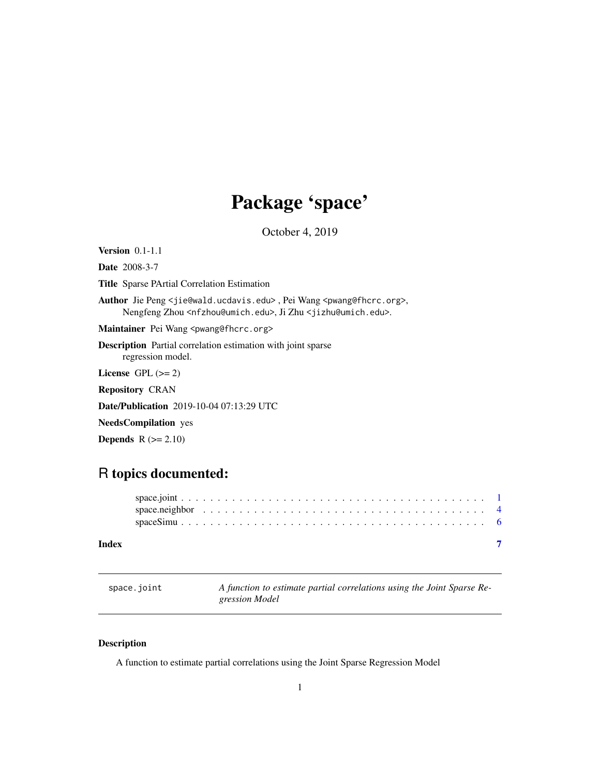## Package 'space'

October 4, 2019

<span id="page-0-0"></span>Version 0.1-1.1 Date 2008-3-7 Title Sparse PArtial Correlation Estimation

Author Jie Peng <jie@wald.ucdavis.edu>, Pei Wang <pwang@fhcrc.org>, Nengfeng Zhou <nfzhou@umich.edu>, Ji Zhu <jizhu@umich.edu>.

Maintainer Pei Wang <pwang@fhcrc.org>

Description Partial correlation estimation with joint sparse regression model.

License GPL  $(>= 2)$ 

Repository CRAN

Date/Publication 2019-10-04 07:13:29 UTC

NeedsCompilation yes

**Depends**  $R$  ( $>= 2.10$ )

### R topics documented:

space.joint *A function to estimate partial correlations using the Joint Sparse Regression Model*

#### Description

A function to estimate partial correlations using the Joint Sparse Regression Model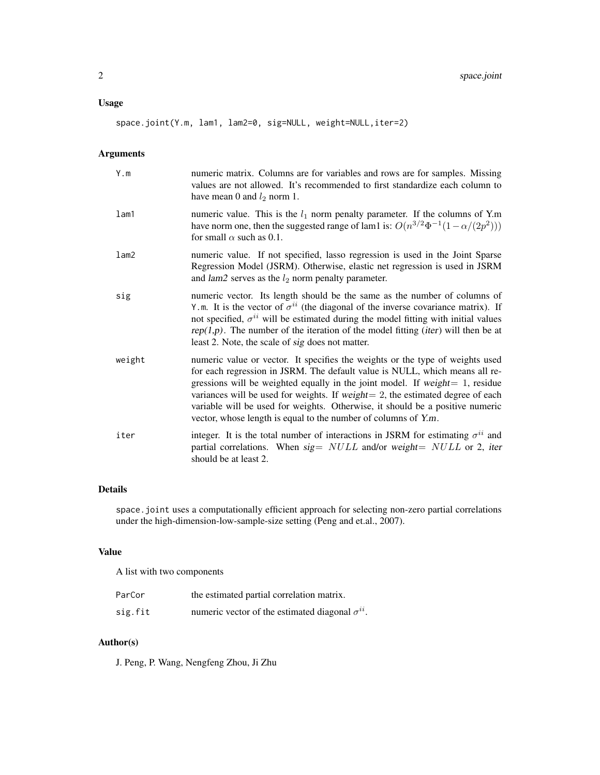#### Usage

space.joint(Y.m, lam1, lam2=0, sig=NULL, weight=NULL,iter=2)

#### Arguments

| Y.m    | numeric matrix. Columns are for variables and rows are for samples. Missing<br>values are not allowed. It's recommended to first standardize each column to<br>have mean 0 and $l_2$ norm 1.                                                                                                                                                                                                                                                                                              |
|--------|-------------------------------------------------------------------------------------------------------------------------------------------------------------------------------------------------------------------------------------------------------------------------------------------------------------------------------------------------------------------------------------------------------------------------------------------------------------------------------------------|
| lam1   | numeric value. This is the $l_1$ norm penalty parameter. If the columns of Y.m<br>have norm one, then the suggested range of lam1 is: $O(n^{3/2}\Phi^{-1}(1-\alpha/(2p^2)))$<br>for small $\alpha$ such as 0.1.                                                                                                                                                                                                                                                                           |
| lam2   | numeric value. If not specified, lasso regression is used in the Joint Sparse<br>Regression Model (JSRM). Otherwise, elastic net regression is used in JSRM<br>and $lam2$ serves as the $l_2$ norm penalty parameter.                                                                                                                                                                                                                                                                     |
| sig    | numeric vector. Its length should be the same as the number of columns of<br>Y.m. It is the vector of $\sigma^{ii}$ (the diagonal of the inverse covariance matrix). If<br>not specified, $\sigma^{ii}$ will be estimated during the model fitting with initial values<br>$rep(1,p)$ . The number of the iteration of the model fitting ( <i>iter</i> ) will then be at<br>least 2. Note, the scale of sig does not matter.                                                               |
| weight | numeric value or vector. It specifies the weights or the type of weights used<br>for each regression in JSRM. The default value is NULL, which means all re-<br>gressions will be weighted equally in the joint model. If weight $= 1$ , residue<br>variances will be used for weights. If weight $= 2$ , the estimated degree of each<br>variable will be used for weights. Otherwise, it should be a positive numeric<br>vector, whose length is equal to the number of columns of Y.m. |
| iter   | integer. It is the total number of interactions in JSRM for estimating $\sigma^{ii}$ and<br>partial correlations. When $sig = NULL$ and/or weight= $NULL$ or 2, iter<br>should be at least 2.                                                                                                                                                                                                                                                                                             |

#### Details

space.joint uses a computationally efficient approach for selecting non-zero partial correlations under the high-dimension-low-sample-size setting (Peng and et.al., 2007).

#### Value

A list with two components

| ParCor  | the estimated partial correlation matrix.                |
|---------|----------------------------------------------------------|
| sig.fit | numeric vector of the estimated diagonal $\sigma^{ii}$ . |

#### Author(s)

J. Peng, P. Wang, Nengfeng Zhou, Ji Zhu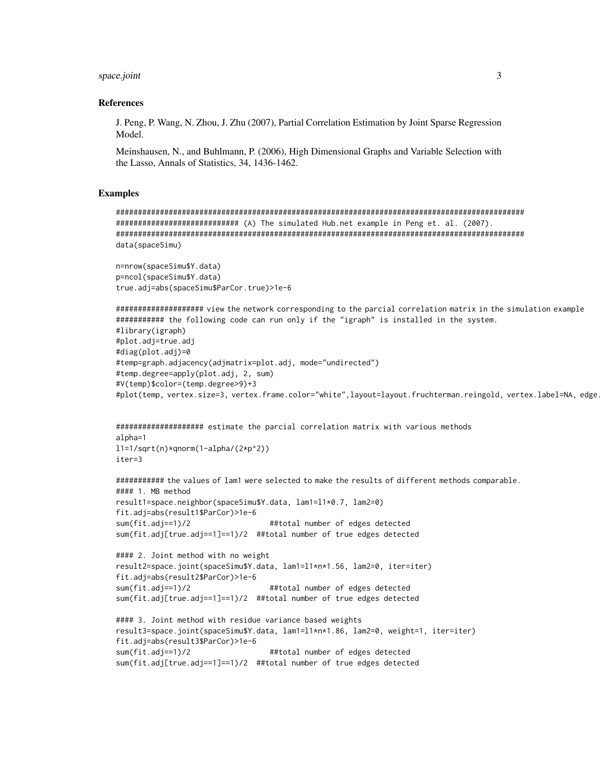#### space.joint

#### **References**

J. Peng, P. Wang, N. Zhou, J. Zhu (2007), Partial Correlation Estimation by Joint Sparse Regression Model.

Meinshausen, N., and Buhlmann, P. (2006), High Dimensional Graphs and Variable Selection with the Lasso, Annals of Statistics, 34, 1436-1462.

#### **Examples**

```
data(spaceSimu)
```

```
n=nrow(spaceSimu$Y.data)
p=ncol(spaceSimu$Y.data)
true.adj=abs(spaceSimu$ParCor.true)>1e-6
```

```
########### the following code can run only if the "igraph" is installed in the system.
#library(igraph)
#plot.adj=true.adj
#diag(plot.adj)=0
#temp=graph.adjacency(adjmatrix=plot.adj, mode="undirected")
#temp.degree=apply(plot.adj, 2, sum)
#V(temp)$color=(temp.degree>9)+3
#plot(temp, vertex.size=3, vertex.frame.color="white",layout=layout.fruchterman.reingold, vertex.label=NA, edge
```

```
alpha=1
11=1/sqrt(n)*qnorm(1-alpha/(2*p^2))iter=3
```

```
########### the values of lam1 were selected to make the results of different methods comparable.
#### 1. MB method
result1=space.neighbor(spaceSimu$Y.data, lam1=11*0.7, lam2=0)
fit.adj=abs(result1$ParCor)>1e-6
sum(fit.addj==1)/2##total number of edges detected
sum(fit.adj[true.adj==1]==1)/2 ##total number of true edges detected
```

```
#### 2. Joint method with no weight
result2=space.joint(spaceSimu$Y.data, lam1=l1*n*1.56, lam2=0, iter=iter)
fit.adj=abs(result2$ParCor)>1e-6
                                   ##total number of edges detected
sum(fit.addj==1)/2sum(fit.adj[true.adj==1]==1)/2 ##total number of true edges detected
```

```
#### 3. Joint method with residue variance based weights
result3=space.joint(spaceSimu$Y.data, lam1=11*n*1.86, lam2=0, weight=1, iter=iter)
fit.adj=abs(result3$ParCor)>1e-6
sum(fit.add == 1)/2##total number of edges detected
sum(fit.adj[true.adj==1]==1)/2 ##total number of true edges detected
```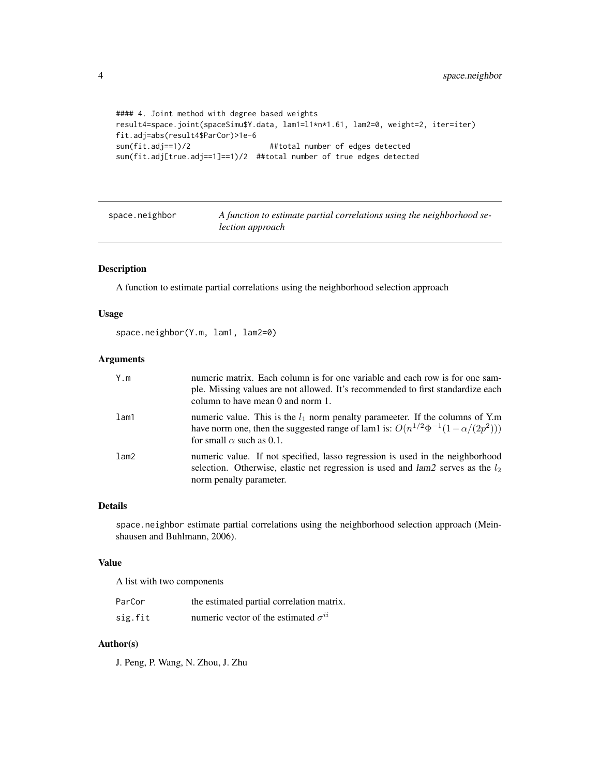```
#### 4. Joint method with degree based weights
result4=space.joint(spaceSimu$Y.data, lam1=l1*n*1.61, lam2=0, weight=2, iter=iter)
fit.adj=abs(result4$ParCor)>1e-6
sum(fit.adj==1)/2 ##total number of edges detected
sum(fit.adj[true.adj==1]==1)/2 ##total number of true edges detected
```
space.neighbor *A function to estimate partial correlations using the neighborhood selection approach*

#### Description

A function to estimate partial correlations using the neighborhood selection approach

#### Usage

space.neighbor(Y.m, lam1, lam2=0)

#### Arguments

| Y.m     | numeric matrix. Each column is for one variable and each row is for one sam-<br>ple. Missing values are not allowed. It's recommended to first standardize each<br>column to have mean 0 and norm 1.            |
|---------|-----------------------------------------------------------------------------------------------------------------------------------------------------------------------------------------------------------------|
| $l$ am1 | numeric value. This is the $l_1$ norm penalty parameter. If the columns of Y.m<br>have norm one, then the suggested range of lam1 is: $O(n^{1/2}\Phi^{-1}(1-\alpha/(2p^2)))$<br>for small $\alpha$ such as 0.1. |
| lam2    | numeric value. If not specified, lasso regression is used in the neighborhood<br>selection. Otherwise, elastic net regression is used and $lam2$ serves as the $l_2$<br>norm penalty parameter.                 |

#### Details

space.neighbor estimate partial correlations using the neighborhood selection approach (Meinshausen and Buhlmann, 2006).

#### Value

A list with two components

| ParCor  | the estimated partial correlation matrix.     |
|---------|-----------------------------------------------|
| sig.fit | numeric vector of the estimated $\sigma^{ii}$ |

#### Author(s)

J. Peng, P. Wang, N. Zhou, J. Zhu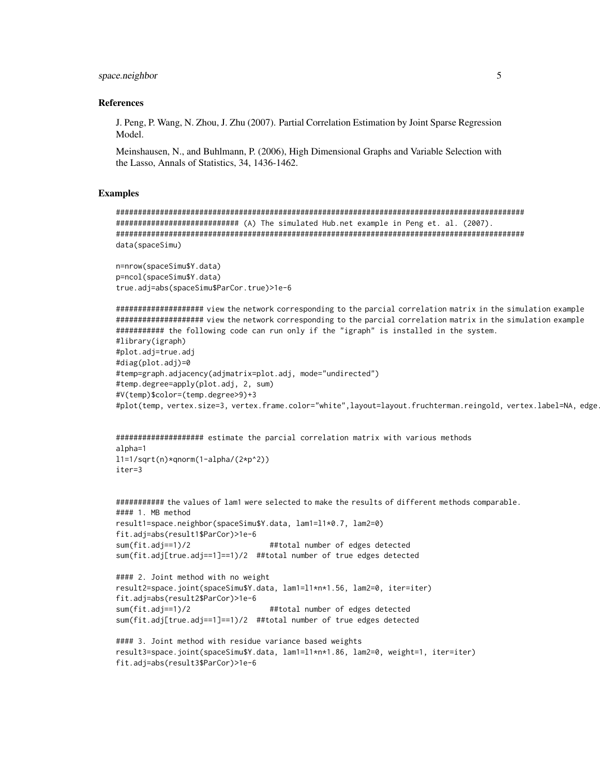#### space.neighbor

#### **References**

J. Peng, P. Wang, N. Zhou, J. Zhu (2007). Partial Correlation Estimation by Joint Sparse Regression Model.

Meinshausen, N., and Buhlmann, P. (2006), High Dimensional Graphs and Variable Selection with the Lasso, Annals of Statistics, 34, 1436-1462.

#### **Examples**

```
data(spaceSimu)
```

```
n=nrow(spaceSimu$Y.data)
p=ncol(spaceSimu$Y.data)
true.adj=abs(spaceSimu$ParCor.true)>1e-6
```
########### the following code can run only if the "igraph" is installed in the system. #library(igraph)

```
#plot.adj=true.adj
#diag(plot.adj)=0
#temp=graph.adjacency(adjmatrix=plot.adj, mode="undirected")
#temp.degree=apply(plot.adj, 2, sum)
#V(temp)$color=(temp.degree>9)+3
#plot(temp, vertex.size=3, vertex.frame.color="white",layout=layout.fruchterman.reingold, vertex.label=NA, edge
```

```
alpha=1
11=1/sqrt(n)*qnorm(1-alpha/(2*p^2))iter=3
```

```
########### the values of lam1 were selected to make the results of different methods comparable.
#### 1. MB method
result1=space.neighbor(spaceSimu$Y.data, lam1=11*0.7, lam2=0)
fit.adj=abs(result1$ParCor)>1e-6
sum(fit.add == 1)/2##total number of edges detected
sum(fit.adj[true.adj==1]==1)/2 ##total number of true edges detected
#### 2. Joint method with no weight
result2=space.joint(spaceSimu$Y.data, lam1=11*n*1.56, lam2=0, iter=iter)
fit.adj=abs(result2$ParCor)>1e-6
sum(fit.add == 1)/2##total number of edges detected
sum(fit.adj[true.adj==1]==1)/2 ##total number of true edges detected
#### 3. Joint method with residue variance based weights
result3=space.joint(spaceSimu$Y.data, lam1=11*n*1.86, lam2=0, weight=1, iter=iter)
fit.adj=abs(result3$ParCor)>1e-6
```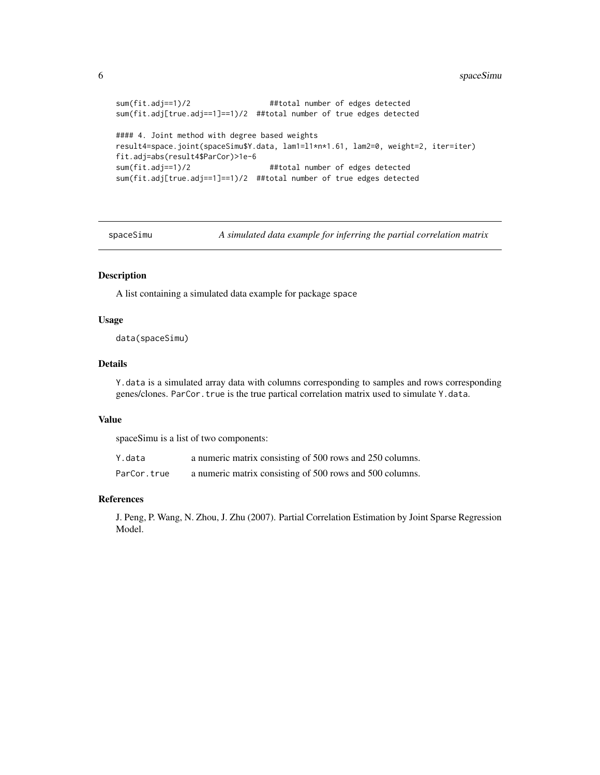```
sum(fit.adj==1)/2 ##total number of edges detected
sum(fit.adj[true.adj==1]==1)/2 ##total number of true edges detected
#### 4. Joint method with degree based weights
result4=space.joint(spaceSimu$Y.data, lam1=l1*n*1.61, lam2=0, weight=2, iter=iter)
fit.adj=abs(result4$ParCor)>1e-6
sum(fit.adj==1)/2 ##total number of edges detected
sum(fit.adj[true.adj==1]==1)/2 ##total number of true edges detected
```
spaceSimu *A simulated data example for inferring the partial correlation matrix*

#### Description

A list containing a simulated data example for package space

#### Usage

data(spaceSimu)

#### Details

Y.data is a simulated array data with columns corresponding to samples and rows corresponding genes/clones. ParCor.true is the true partical correlation matrix used to simulate Y.data.

#### Value

spaceSimu is a list of two components:

| Y.data      | a numeric matrix consisting of 500 rows and 250 columns. |
|-------------|----------------------------------------------------------|
| ParCor.true | a numeric matrix consisting of 500 rows and 500 columns. |

#### References

J. Peng, P. Wang, N. Zhou, J. Zhu (2007). Partial Correlation Estimation by Joint Sparse Regression Model.

<span id="page-5-0"></span>